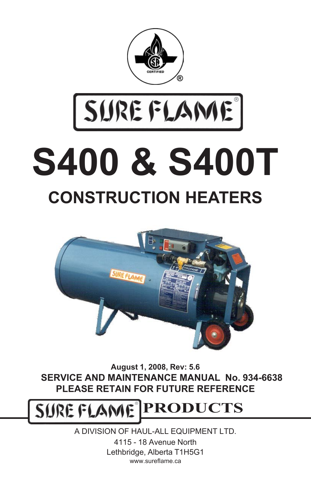

# SUREFLAME **S400 & S400T CONSTRUCTION HEATERS**



**August 1, 2008, Rev: 5.6 SERVICE AND MAINTENANCE MANUAL No. 934-6638 PLEASE RETAIN FOR FUTURE REFERENCE**

SURE FLAM **PRODUCTS**

> A DIVISION OF HAUL-ALL EQUIPMENT LTD. 4115 - 18 Avenue North Lethbridge, Alberta T1H5G1 www.sureflame.ca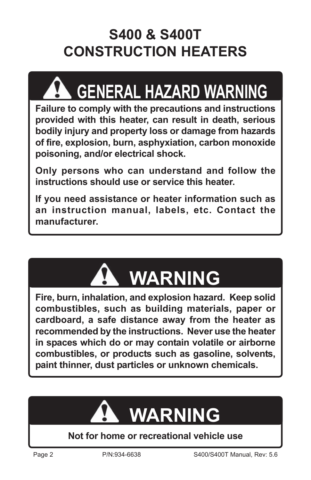### **S400 & S400T CONSTRUCTION HEATERS**

## **GENERAL HAZARD WARNING**

**Failure to comply with the precautions and instructions provided with this heater, can result in death, serious bodily injury and property loss or damage from hazards of fire, explosion, burn, asphyxiation, carbon monoxide poisoning, and/or electrical shock.**

**Only persons who can understand and follow the instructions should use or service this heater.**

**If you need assistance or heater information such as an instruction manual, labels, etc. Contact the manufacturer.**



**Fire, burn, inhalation, and explosion hazard. Keep solid combustibles, such as building materials, paper or cardboard, a safe distance away from the heater as recommended by the instructions. Never use the heater in spaces which do or may contain volatile or airborne combustibles, or products such as gasoline, solvents, paint thinner, dust particles or unknown chemicals.**



#### **Not for home or recreational vehicle use**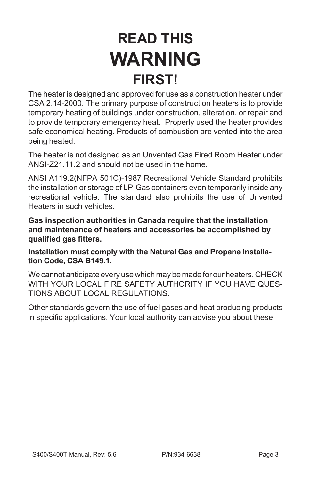### **READ THIS WARNING FIRST!**

The heater is designed and approved for use as a construction heater under CSA 2.14-2000. The primary purpose of construction heaters is to provide temporary heating of buildings under construction, alteration, or repair and to provide temporary emergency heat. Properly used the heater provides safe economical heating. Products of combustion are vented into the area being heated.

The heater is not designed as an Unvented Gas Fired Room Heater under ANSI-Z21.11.2 and should not be used in the home.

ANSI A119.2(NFPA 501C)-1987 Recreational Vehicle Standard prohibits the installation or storage of LP-Gas containers even temporarily inside any recreational vehicle. The standard also prohibits the use of Unvented Heaters in such vehicles.

**Gas inspection authorities in Canada require that the installation and maintenance of heaters and accessories be accomplished by qualified gas fitters.**

**Installation must comply with the Natural Gas and Propane Installation Code, CSA B149.1.**

We cannot anticipate every use which may be made for our heaters. CHECK WITH YOUR LOCAL FIRE SAFETY AUTHORITY IF YOU HAVE QUES-TIONS ABOUT LOCAL REGULATIONS.

Other standards govern the use of fuel gases and heat producing products in specific applications. Your local authority can advise you about these.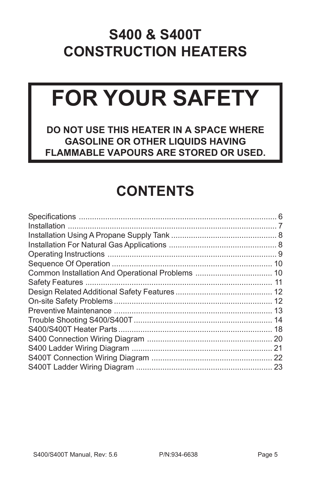### **S400 & S400T CONSTRUCTION HEATERS**

# **FOR YOUR SAFETY**

**DO NOT USE THIS HEATER IN A SPACE WHERE GASOLINE OR OTHER LIQUIDS HAVING FLAMMABLE VAPOURS ARE STORED OR USED.**

### **CONTENTS**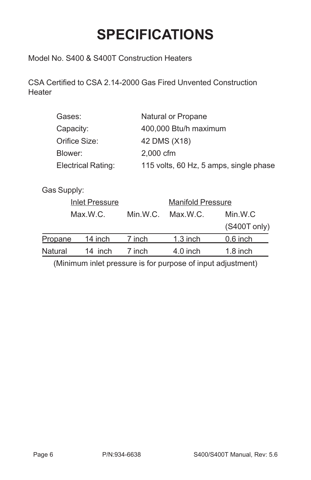### **SPECIFICATIONS**

<span id="page-5-0"></span>Model No. S400 & S400T Construction Heaters

CSA Certified to CSA 2.14-2000 Gas Fired Unvented Construction **Heater** 

| Gases:                    | Natural or Propane                     |
|---------------------------|----------------------------------------|
| Capacity:                 | 400,000 Btu/h maximum                  |
| Orifice Size:             | 42 DMS (X18)                           |
| Blower:                   | 2,000 cfm                              |
| <b>Electrical Rating:</b> | 115 volts, 60 Hz, 5 amps, single phase |
|                           |                                        |

Gas Supply:

|                | <b>Inlet Pressure</b> |          | <b>Manifold Pressure</b> |              |
|----------------|-----------------------|----------|--------------------------|--------------|
|                | Max.W.C.              | Min.W.C. | Max.W.C.                 | Min.W.C      |
|                |                       |          |                          | (S400T only) |
| Propane        | 14 inch               | 7 inch   | $1.3$ inch               | $0.6$ inch   |
| <b>Natural</b> | 14 inch               | 7 inch   | $4.0$ inch               | $1.8$ inch   |

(Minimum inlet pressure is for purpose of input adjustment)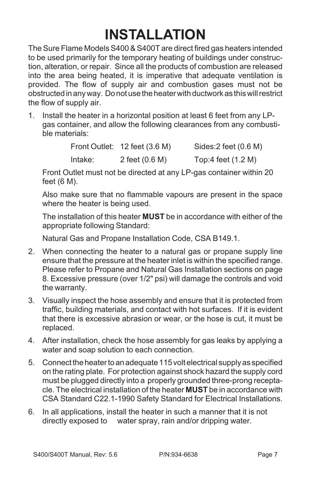### **INSTALLATION**

<span id="page-6-0"></span>The Sure Flame Models S400 & S400T are direct fired gas heaters intended to be used primarily for the temporary heating of buildings under construction, alteration, or repair. Since all the products of combustion are released into the area being heated, it is imperative that adequate ventilation is provided. The flow of supply air and combustion gases must not be obstructed in any way. Do not use the heater with ductwork as this will restrict the flow of supply air.

1. Install the heater in a horizontal position at least 6 feet from any LPgas container, and allow the following clearances from any combustible materials:

|         | Front Outlet: 12 feet (3.6 M) | Sides: $2$ feet $(0.6 M)$ |
|---------|-------------------------------|---------------------------|
| Intake: | 2 feet (0.6 M)                | Top:4 feet (1.2 M)        |

Front Outlet must not be directed at any LP-gas container within 20 feet (6 M).

Also make sure that no flammable vapours are present in the space where the heater is being used.

The installation of this heater **MUST** be in accordance with either of the appropriate following Standard:

Natural Gas and Propane Installation Code, CSA B149.1.

- 2. When connecting the heater to a natural gas or propane supply line ensure that the pressure at the heater inlet is within the specified range. Please refer to Propane and Natural Gas Installation sections on page 8. Excessive pressure (over 1/2" psi) will damage the controls and void the warranty.
- 3. Visually inspect the hose assembly and ensure that it is protected from traffic, building materials, and contact with hot surfaces. If it is evident that there is excessive abrasion or wear, or the hose is cut, it must be replaced.
- 4. After installation, check the hose assembly for gas leaks by applying a water and soap solution to each connection.
- 5. Connect the heater to an adequate 115 volt electrical supply as specified on the rating plate. For protection against shock hazard the supply cord must be plugged directly into a properly grounded three-prong receptacle. The electrical installation of the heater **MUST** be in accordance with CSA Standard C22.1-1990 Safety Standard for Electrical Installations.
- 6. In all applications, install the heater in such a manner that it is not directly exposed to water spray, rain and/or dripping water.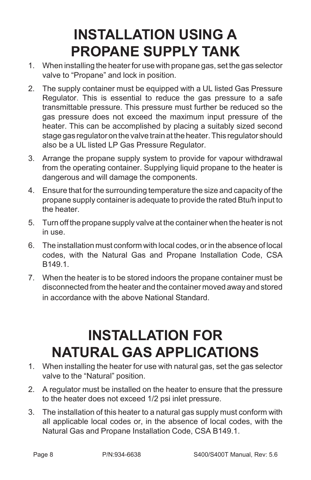### **INSTALLATION USING A PROPANE SUPPLY TANK**

- <span id="page-7-0"></span>1. When installing the heater for use with propane gas, set the gas selector valve to "Propane" and lock in position.
- 2. The supply container must be equipped with a UL listed Gas Pressure Regulator. This is essential to reduce the gas pressure to a safe transmittable pressure. This pressure must further be reduced so the gas pressure does not exceed the maximum input pressure of the heater. This can be accomplished by placing a suitably sized second stage gas regulator on the valve train at the heater. This regulator should also be a UL listed LP Gas Pressure Regulator.
- 3. Arrange the propane supply system to provide for vapour withdrawal from the operating container. Supplying liquid propane to the heater is dangerous and will damage the components.
- 4. Ensure that for the surrounding temperature the size and capacity of the propane supply container is adequate to provide the rated Btu/h input to the heater.
- 5. Turn off the propane supply valve at the container when the heater is not in use.
- 6. The installation must conform with local codes, or in the absence of local codes, with the Natural Gas and Propane Installation Code, CSA R<sub>149</sub> 1
- 7. When the heater is to be stored indoors the propane container must be disconnected from the heater and the container moved away and stored in accordance with the above National Standard.

### **INSTALLATION FOR NATURAL GAS APPLICATIONS**

- 1. When installing the heater for use with natural gas, set the gas selector valve to the "Natural" position.
- 2. A regulator must be installed on the heater to ensure that the pressure to the heater does not exceed 1/2 psi inlet pressure.
- 3. The installation of this heater to a natural gas supply must conform with all applicable local codes or, in the absence of local codes, with the Natural Gas and Propane Installation Code, CSA B149.1.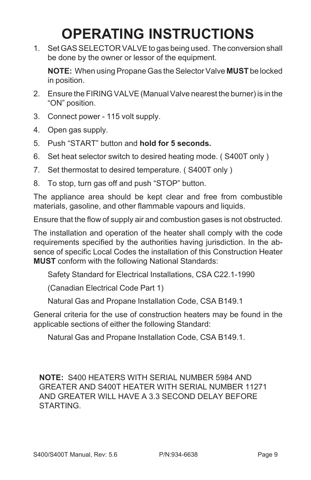### **OPERATING INSTRUCTIONS**

1. Set GAS SELECTOR VALVE to gas being used. The conversion shall be done by the owner or lessor of the equipment.

**NOTE:** When using Propane Gas the Selector Valve **MUST** be locked in position.

- 2. Ensure the FIRING VALVE (Manual Valve nearest the burner) is in the "ON" position.
- 3. Connect power 115 volt supply.
- 4. Open gas supply.
- 5. Push "START" button and **hold for 5 seconds.**
- 6. Set heat selector switch to desired heating mode. ( S400T only )
- 7. Set thermostat to desired temperature. ( S400T only )
- 8. To stop, turn gas off and push "STOP" button.

The appliance area should be kept clear and free from combustible materials, gasoline, and other flammable vapours and liquids.

Ensure that the flow of supply air and combustion gases is not obstructed.

The installation and operation of the heater shall comply with the code requirements specified by the authorities having jurisdiction. In the absence of specific Local Codes the installation of this Construction Heater **MUST** conform with the following National Standards:

Safety Standard for Electrical Installations, CSA C22.1-1990

(Canadian Electrical Code Part 1)

Natural Gas and Propane Installation Code, CSA B149.1

General criteria for the use of construction heaters may be found in the applicable sections of either the following Standard:

Natural Gas and Propane Installation Code, CSA B149.1.

**NOTE:** S400 HEATERS WITH SERIAL NUMBER 5984 AND GREATER AND S400T HEATER WITH SERIAL NUMBER 11271 AND GREATER WILL HAVE A 3.3 SECOND DELAY BEFORE **STARTING**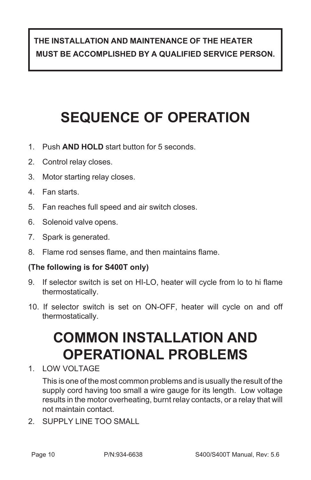#### **THE INSTALLATION AND MAINTENANCE OF THE HEATER MUST BE ACCOMPLISHED BY A QUALIFIED SERVICE PERSON.**

### **SEQUENCE OF OPERATION**

- 1. Push **AND HOLD** start button for 5 seconds.
- 2. Control relay closes.
- 3. Motor starting relay closes.
- 4. Fan starts.
- 5. Fan reaches full speed and air switch closes.
- 6. Solenoid valve opens.
- 7. Spark is generated.
- 8. Flame rod senses flame, and then maintains flame.

#### **(The following is for S400T only)**

- 9. If selector switch is set on HI-LO, heater will cycle from lo to hi flame thermostatically.
- 10. If selector switch is set on ON-OFF, heater will cycle on and off thermostatically.

### **COMMON INSTALLATION AND OPERATIONAL PROBLEMS**

1. LOW VOLTAGE

This is one of the most common problems and is usually the result of the supply cord having too small a wire gauge for its length. Low voltage results in the motor overheating, burnt relay contacts, or a relay that will not maintain contact.

2. SUPPLY LINE TOO SMALL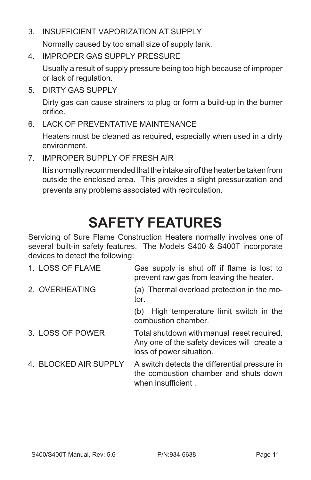3. INSUFFICIENT VAPORIZATION AT SUPPLY

Normally caused by too small size of supply tank.

4. IMPROPER GAS SUPPLY PRESSURE

Usually a result of supply pressure being too high because of improper or lack of regulation.

5. DIRTY GAS SUPPLY

Dirty gas can cause strainers to plug or form a build-up in the burner orifice.

6. LACK OF PREVENTATIVE MAINTENANCE

Heaters must be cleaned as required, especially when used in a dirty environment.

7. IMPROPER SUPPLY OF FRESH AIR

It is normally recommended that the intake air of the heater be taken from outside the enclosed area. This provides a slight pressurization and prevents any problems associated with recirculation.

### **SAFETY FEATURES**

Servicing of Sure Flame Construction Heaters normally involves one of several built-in safety features. The Models S400 & S400T incorporate devices to detect the following:

| 1. LOSS OF FLAME      | Gas supply is shut off if flame is lost to<br>prevent raw gas from leaving the heater.                                |
|-----------------------|-----------------------------------------------------------------------------------------------------------------------|
| 2. OVERHEATING        | (a) Thermal overload protection in the mo-<br>tor.                                                                    |
|                       | High temperature limit switch in the<br>(b)<br>combustion chamber.                                                    |
| 3. LOSS OF POWER      | Total shutdown with manual reset required.<br>Any one of the safety devices will create a<br>loss of power situation. |
| 4. BLOCKED AIR SUPPLY | A switch detects the differential pressure in<br>the combustion chamber and shuts down<br>when insufficient.          |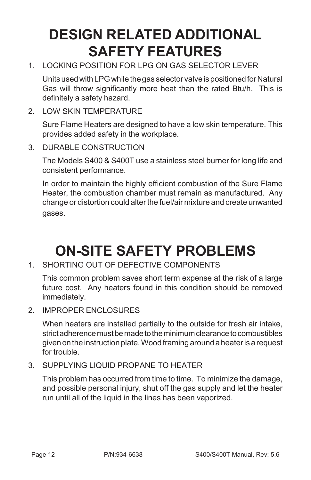### **DESIGN RELATED ADDITIONAL SAFETY FEATURES**

1. LOCKING POSITION FOR LPG ON GAS SELECTOR LEVER

Units used with LPG while the gas selector valve is positioned for Natural Gas will throw significantly more heat than the rated Btu/h. This is definitely a safety hazard.

2. LOW SKIN TEMPERATURE

Sure Flame Heaters are designed to have a low skin temperature. This provides added safety in the workplace.

3. DURABLE CONSTRUCTION

The Models S400 & S400T use a stainless steel burner for long life and consistent performance.

In order to maintain the highly efficient combustion of the Sure Flame Heater, the combustion chamber must remain as manufactured. Any change or distortion could alter the fuel/air mixture and create unwanted gases.

### **ON-SITE SAFETY PROBLEMS**

1. SHORTING OUT OF DEFECTIVE COMPONENTS

This common problem saves short term expense at the risk of a large future cost. Any heaters found in this condition should be removed immediately.

2 IMPROPER ENCLOSURES

When heaters are installed partially to the outside for fresh air intake, strict adherence must be made to the minimum clearance to combustibles given on the instruction plate. Wood framing around a heater is a request for trouble.

3. SUPPLYING LIQUID PROPANE TO HEATER

This problem has occurred from time to time. To minimize the damage, and possible personal injury, shut off the gas supply and let the heater run until all of the liquid in the lines has been vaporized.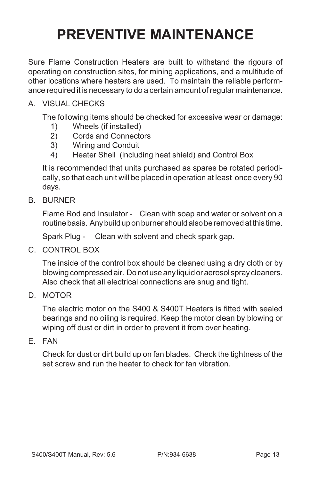### **PREVENTIVE MAINTENANCE**

Sure Flame Construction Heaters are built to withstand the rigours of operating on construction sites, for mining applications, and a multitude of other locations where heaters are used. To maintain the reliable performance required it is necessary to do a certain amount of regular maintenance.

#### A. VISUAL CHECKS

The following items should be checked for excessive wear or damage:

- 1) Wheels (if installed)
- 2) Cords and Connectors
- 3) Wiring and Conduit
- 4) Heater Shell (including heat shield) and Control Box

It is recommended that units purchased as spares be rotated periodically, so that each unit will be placed in operation at least once every 90 days.

B. BURNER

Flame Rod and Insulator - Clean with soap and water or solvent on a routine basis. Any build up on burner should also be removed at this time.

Spark Plug - Clean with solvent and check spark gap.

C. CONTROL BOX

The inside of the control box should be cleaned using a dry cloth or by blowing compressed air. Do not use any liquid or aerosol spray cleaners. Also check that all electrical connections are snug and tight.

D. MOTOR

The electric motor on the S400 & S400T Heaters is fitted with sealed bearings and no oiling is required. Keep the motor clean by blowing or wiping off dust or dirt in order to prevent it from over heating.

E. FAN

Check for dust or dirt build up on fan blades. Check the tightness of the set screw and run the heater to check for fan vibration.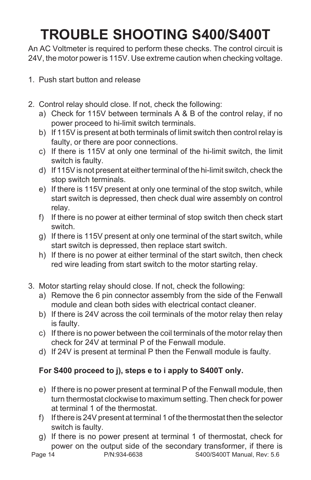### **TROUBLE SHOOTING S400/S400T**

An AC Voltmeter is required to perform these checks. The control circuit is 24V, the motor power is 115V. Use extreme caution when checking voltage.

- 1. Push start button and release
- 2. Control relay should close. If not, check the following:
	- a) Check for 115V between terminals A & B of the control relay, if no power proceed to hi-limit switch terminals.
	- b) If 115V is present at both terminals of limit switch then control relay is faulty, or there are poor connections.
	- c) If there is 115V at only one terminal of the hi-limit switch, the limit switch is faulty.
	- d) If 115V is not present at either terminal of the hi-limit switch, check the stop switch terminals.
	- e) If there is 115V present at only one terminal of the stop switch, while start switch is depressed, then check dual wire assembly on control relay.
	- f) If there is no power at either terminal of stop switch then check start switch.
	- g) If there is 115V present at only one terminal of the start switch, while start switch is depressed, then replace start switch.
	- h) If there is no power at either terminal of the start switch, then check red wire leading from start switch to the motor starting relay.
- 3. Motor starting relay should close. If not, check the following:
	- a) Remove the 6 pin connector assembly from the side of the Fenwall module and clean both sides with electrical contact cleaner.
	- b) If there is 24V across the coil terminals of the motor relay then relay is faulty.
	- c) If there is no power between the coil terminals of the motor relay then check for 24V at terminal P of the Fenwall module.
	- d) If 24V is present at terminal P then the Fenwall module is faulty.

#### **For S400 proceed to j), steps e to i apply to S400T only.**

- e) If there is no power present at terminal P of the Fenwall module, then turn thermostat clockwise to maximum setting. Then check for power at terminal 1 of the thermostat.
- f) If there is 24V present at terminal 1 of the thermostat then the selector switch is faulty.
- g) If there is no power present at terminal 1 of thermostat, check for power on the output side of the secondary transformer, if there is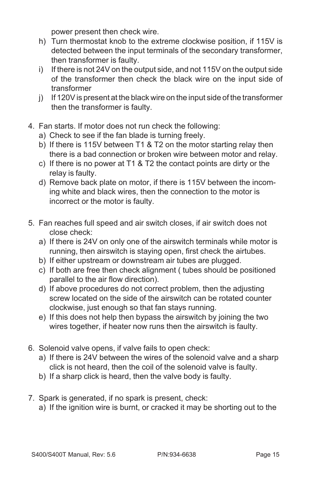power present then check wire.

- h) Turn thermostat knob to the extreme clockwise position, if 115V is detected between the input terminals of the secondary transformer, then transformer is faulty.
- i) If there is not 24V on the output side, and not 115V on the output side of the transformer then check the black wire on the input side of transformer
- j) If 120V is present at the black wire on the input side of the transformer then the transformer is faulty.
- 4. Fan starts. If motor does not run check the following:
	- a) Check to see if the fan blade is turning freely.
	- b) If there is 115V between T1 & T2 on the motor starting relay then there is a bad connection or broken wire between motor and relay.
	- c) If there is no power at T1 & T2 the contact points are dirty or the relay is faulty.
	- d) Remove back plate on motor, if there is 115V between the incoming white and black wires, then the connection to the motor is incorrect or the motor is faulty.
- 5. Fan reaches full speed and air switch closes, if air switch does not close check:
	- a) If there is 24V on only one of the airswitch terminals while motor is running, then airswitch is staying open, first check the airtubes.
	- b) If either upstream or downstream air tubes are plugged.
	- c) If both are free then check alignment ( tubes should be positioned parallel to the air flow direction).
	- d) If above procedures do not correct problem, then the adjusting screw located on the side of the airswitch can be rotated counter clockwise, just enough so that fan stays running.
	- e) If this does not help then bypass the airswitch by joining the two wires together, if heater now runs then the airswitch is faulty.
- 6. Solenoid valve opens, if valve fails to open check:
	- a) If there is 24V between the wires of the solenoid valve and a sharp click is not heard, then the coil of the solenoid valve is faulty.
	- b) If a sharp click is heard, then the valve body is faulty.
- 7. Spark is generated, if no spark is present, check:
	- a) If the ignition wire is burnt, or cracked it may be shorting out to the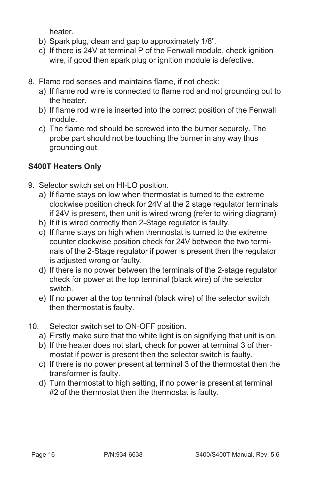heater.

- b) Spark plug, clean and gap to approximately 1/8".
- c) If there is 24V at terminal P of the Fenwall module, check ignition wire, if good then spark plug or ignition module is defective.
- 8. Flame rod senses and maintains flame, if not check:
	- a) If flame rod wire is connected to flame rod and not grounding out to the heater.
	- b) If flame rod wire is inserted into the correct position of the Fenwall module.
	- c) The flame rod should be screwed into the burner securely. The probe part should not be touching the burner in any way thus grounding out.

#### **S400T Heaters Only**

- 9. Selector switch set on HI-LO position.
	- a) If flame stays on low when thermostat is turned to the extreme clockwise position check for 24V at the 2 stage regulator terminals if 24V is present, then unit is wired wrong (refer to wiring diagram)
	- b) If it is wired correctly then 2-Stage regulator is faulty.
	- c) If flame stays on high when thermostat is turned to the extreme counter clockwise position check for 24V between the two terminals of the 2-Stage regulator if power is present then the regulator is adjusted wrong or faulty.
	- d) If there is no power between the terminals of the 2-stage regulator check for power at the top terminal (black wire) of the selector switch.
	- e) If no power at the top terminal (black wire) of the selector switch then thermostat is faulty.
- 10. Selector switch set to ON-OFF position.
	- a) Firstly make sure that the white light is on signifying that unit is on.
	- b) If the heater does not start, check for power at terminal 3 of thermostat if power is present then the selector switch is faulty.
	- c) If there is no power present at terminal 3 of the thermostat then the transformer is faulty.
	- d) Turn thermostat to high setting, if no power is present at terminal #2 of the thermostat then the thermostat is faulty.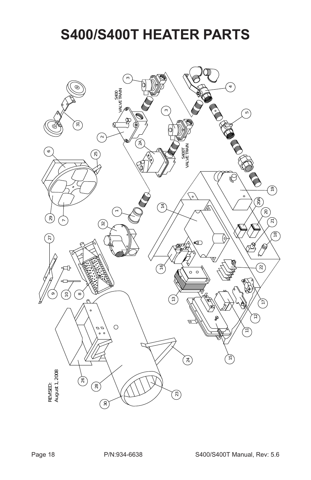### **S400/S400T HEATER PARTS**

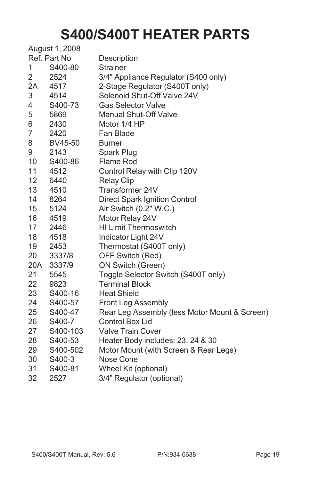### **S400/S400T HEATER PARTS**

|     | August 1, 2008 |                                               |
|-----|----------------|-----------------------------------------------|
|     | Ref. Part No   | Description                                   |
| 1   | S400-80        | <b>Strainer</b>                               |
| 2   | 2524           | 3/4" Appliance Regulator (S400 only)          |
| 2A  | 4517           | 2-Stage Regulator (S400T only)                |
| 3   | 4514           | Solenoid Shut-Off Valve 24V                   |
| 4   | S400-73        | <b>Gas Selector Valve</b>                     |
| 5   | 5869           | <b>Manual Shut-Off Valve</b>                  |
| 6   | 2430           | Motor 1/4 HP                                  |
| 7   | 2420           | Fan Blade                                     |
| 8   | BV45-50        | <b>Burner</b>                                 |
| 9   | 2143           | Spark Plug                                    |
| 10  | S400-86        | Flame Rod                                     |
| 11  | 4512           | Control Relay with Clip 120V                  |
| 12  | 6440           | <b>Relay Clip</b>                             |
| 13  | 4510           | Transformer 24V                               |
| 14  | 8264           | Direct Spark Ignition Control                 |
| 15  | 5124           | Air Switch (0.2" W.C.)                        |
| 16  | 4519           | Motor Relay 24V                               |
| 17  | 2446           | <b>HI Limit Thermoswitch</b>                  |
| 18  | 4518           | Indicator Light 24V                           |
| 19  | 2453           | Thermostat (S400T only)                       |
| 20  | 3337/8         | OFF Switch (Red)                              |
| 20A | 3337/9         | ON Switch (Green)                             |
| 21  | 5545           | Toggle Selector Switch (S400T only)           |
| 22  | 9823           | <b>Terminal Block</b>                         |
| 23  | S400-16        | <b>Heat Shield</b>                            |
| 24  | S400-57        | Front Leg Assembly                            |
| 25  | S400-47        | Rear Leg Assembly (less Motor Mount & Screen) |
| 26  | S400-7         | <b>Control Box Lid</b>                        |
| 27  | S400-103       | <b>Valve Train Cover</b>                      |
| 28  | S400-53        | Heater Body includes: 23, 24 & 30             |
| 29  | S400-502       | Motor Mount (with Screen & Rear Legs)         |
| 30  | S400-3         | Nose Cone                                     |
| 31  | S400-81        | Wheel Kit (optional)                          |
| 32  | 2527           | 3/4" Regulator (optional)                     |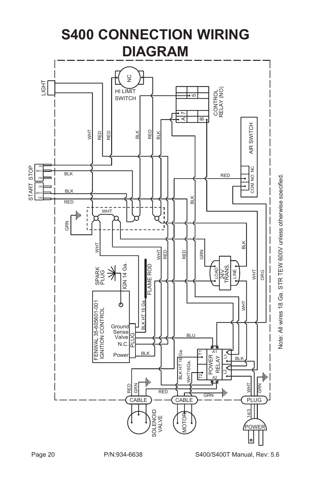

Note: All wires 18 Ga. STR TEW 600V unless otherwise specified Note: All wires 18 Ga. STR TEW 600V unless otherwise specified.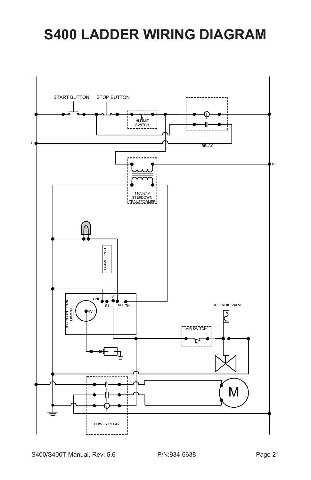### <span id="page-20-0"></span>**S400 LADDER WIRING DIAGRAM**

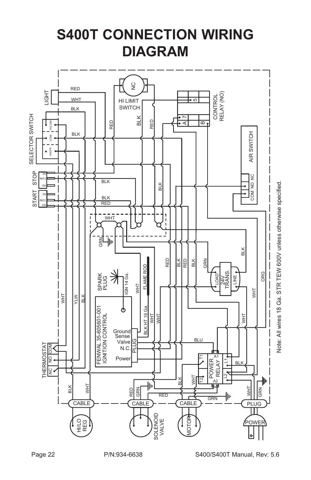<span id="page-21-0"></span>